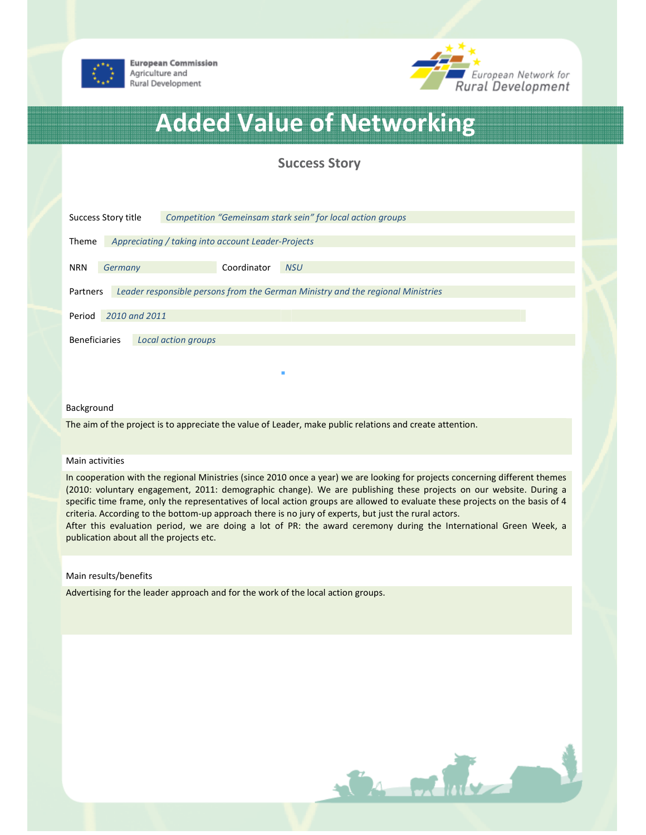

**European Commission** Agriculture and Rural Development



# Added Value of Networking

# Success Story

| Success Story title                                                                         |         |  |             | Competition "Gemeinsam stark sein" for local action groups |
|---------------------------------------------------------------------------------------------|---------|--|-------------|------------------------------------------------------------|
| Appreciating / taking into account Leader-Projects<br><b>Theme</b>                          |         |  |             |                                                            |
| <b>NRN</b>                                                                                  | Germany |  | Coordinator | <b>NSU</b>                                                 |
| Leader responsible persons from the German Ministry and the regional Ministries<br>Partners |         |  |             |                                                            |
| 2010 and 2011<br>Period                                                                     |         |  |             |                                                            |
| <b>Beneficiaries</b><br>Local action groups                                                 |         |  |             |                                                            |
|                                                                                             |         |  |             |                                                            |

#### Background

The aim of the project is to appreciate the value of Leader, make public relations and create attention.

#### Main activities

In cooperation with the regional Ministries (since 2010 once a year) we are looking for projects concerning different themes (2010: voluntary engagement, 2011: demographic change). We are publishing these projects on our website. During a specific time frame, only the representatives of local action groups are allowed to evaluate these projects on the basis of 4 criteria. According to the bottom-up approach there is no jury of experts, but just the rural actors.

After this evaluation period, we are doing a lot of PR: the award ceremony during the International Green Week, a publication about all the projects etc.

### Main results/benefits

Advertising for the leader approach and for the work of the local action groups.